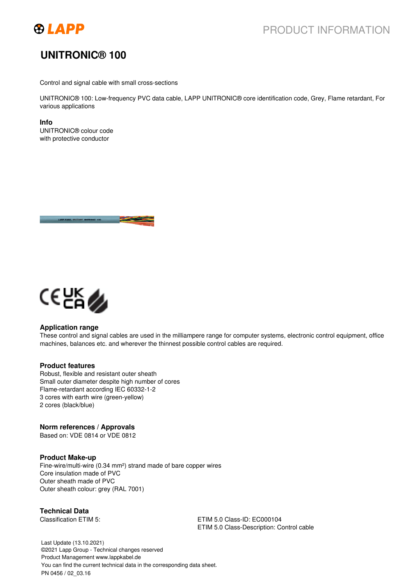

## PRODUCT INFORMATION

### **UNITRONIC® 100**

Control and signal cable with small cross-sections

UNITRONIC® 100: Low-frequency PVC data cable, LAPP UNITRONIC® core identification code, Grey, Flame retardant, For various applications

**Info**

UNITRONIC® colour code with protective conductor





#### **Application range**

These control and signal cables are used in the milliampere range for computer systems, electronic control equipment, office machines, balances etc. and wherever the thinnest possible control cables are required.

#### **Product features**

Robust, flexible and resistant outer sheath Small outer diameter despite high number of cores Flame-retardant according IEC 60332-1-2 3 cores with earth wire (green-yellow) 2 cores (black/blue)

#### **Norm references / Approvals**

Based on: VDE 0814 or VDE 0812

#### **Product Make-up**

Fine-wire/multi-wire (0.34 mm²) strand made of bare copper wires Core insulation made of PVC Outer sheath made of PVC Outer sheath colour: grey (RAL 7001)

### **Technical Data**

Classification ETIM 5: ETIM 5.0 Class-ID: EC000104 ETIM 5.0 Class-Description: Control cable

Last Update (13.10.2021) ©2021 Lapp Group - Technical changes reserved Product Management www.lappkabel.de You can find the current technical data in the corresponding data sheet. PN 0456 / 02\_03.16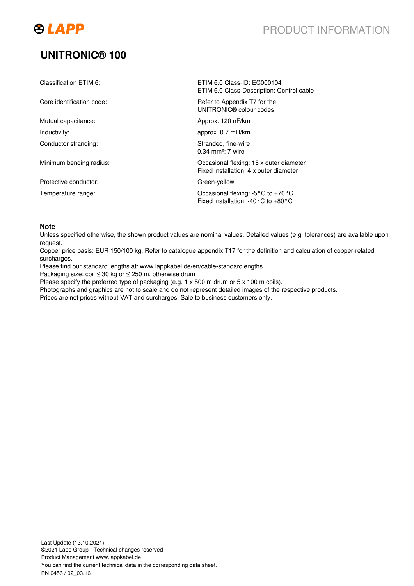

# **UNITRONIC® 100**

| Classification ETIM 6:    | ETIM 6.0 Class-ID: EC000104<br>ETIM 6.0 Class-Description: Control cable                                        |
|---------------------------|-----------------------------------------------------------------------------------------------------------------|
| Core identification code: | Refer to Appendix T7 for the<br>UNITRONIC® colour codes                                                         |
| Mutual capacitance:       | Approx. 120 nF/km                                                                                               |
| Inductivity:              | approx. 0.7 mH/km                                                                                               |
| Conductor stranding:      | Stranded, fine-wire<br>$0.34 \, \text{mm}^2$ : 7-wire                                                           |
| Minimum bending radius:   | Occasional flexing: 15 x outer diameter<br>Fixed installation: 4 x outer diameter                               |
| Protective conductor:     | Green-yellow                                                                                                    |
| Temperature range:        | Occasional flexing: $-5^{\circ}$ C to $+70^{\circ}$ C<br>Fixed installation: -40 $\degree$ C to +80 $\degree$ C |

#### **Note**

Unless specified otherwise, the shown product values are nominal values. Detailed values (e.g. tolerances) are available upon request.

Copper price basis: EUR 150/100 kg. Refer to catalogue appendix T17 for the definition and calculation of copper-related surcharges.

Please find our standard lengths at: www.lappkabel.de/en/cable-standardlengths

Packaging size: coil ≤ 30 kg or ≤ 250 m, otherwise drum

Please specify the preferred type of packaging (e.g. 1 x 500 m drum or 5 x 100 m coils).

Photographs and graphics are not to scale and do not represent detailed images of the respective products.

Prices are net prices without VAT and surcharges. Sale to business customers only.